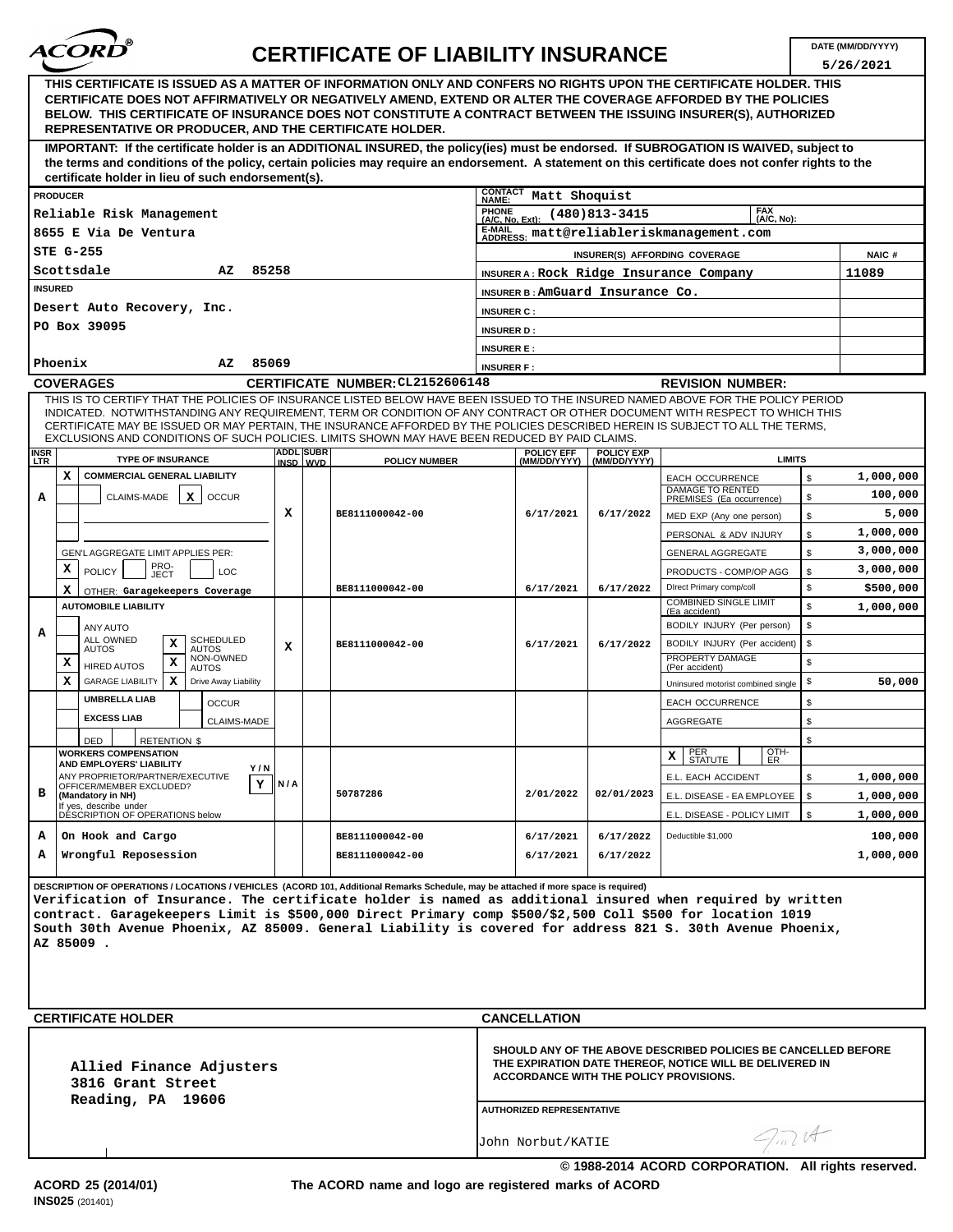

## **DATE (MM/DD/YYYY) CERTIFICATE OF LIABILITY INSURANCE**

|                                                                                                                                                                                                                                                                                                                                                                                                                                                                                                    |                                                                                                                                                                                                                                                                                                                                                                                                                         |                                                              |                                           |     |                 |                                  |                      |                                                                                                                                                                                                          |                                                                                  |                                   |                                                              |              | 5/26/2021 |  |
|----------------------------------------------------------------------------------------------------------------------------------------------------------------------------------------------------------------------------------------------------------------------------------------------------------------------------------------------------------------------------------------------------------------------------------------------------------------------------------------------------|-------------------------------------------------------------------------------------------------------------------------------------------------------------------------------------------------------------------------------------------------------------------------------------------------------------------------------------------------------------------------------------------------------------------------|--------------------------------------------------------------|-------------------------------------------|-----|-----------------|----------------------------------|----------------------|----------------------------------------------------------------------------------------------------------------------------------------------------------------------------------------------------------|----------------------------------------------------------------------------------|-----------------------------------|--------------------------------------------------------------|--------------|-----------|--|
|                                                                                                                                                                                                                                                                                                                                                                                                                                                                                                    | THIS CERTIFICATE IS ISSUED AS A MATTER OF INFORMATION ONLY AND CONFERS NO RIGHTS UPON THE CERTIFICATE HOLDER. THIS<br>CERTIFICATE DOES NOT AFFIRMATIVELY OR NEGATIVELY AMEND, EXTEND OR ALTER THE COVERAGE AFFORDED BY THE POLICIES<br>BELOW. THIS CERTIFICATE OF INSURANCE DOES NOT CONSTITUTE A CONTRACT BETWEEN THE ISSUING INSURER(S), AUTHORIZED<br><b>REPRESENTATIVE OR PRODUCER, AND THE CERTIFICATE HOLDER.</b> |                                                              |                                           |     |                 |                                  |                      |                                                                                                                                                                                                          |                                                                                  |                                   |                                                              |              |           |  |
| IMPORTANT: If the certificate holder is an ADDITIONAL INSURED, the policy(ies) must be endorsed. If SUBROGATION IS WAIVED, subject to<br>the terms and conditions of the policy, certain policies may require an endorsement. A statement on this certificate does not confer rights to the<br>certificate holder in lieu of such endorsement(s).                                                                                                                                                  |                                                                                                                                                                                                                                                                                                                                                                                                                         |                                                              |                                           |     |                 |                                  |                      |                                                                                                                                                                                                          |                                                                                  |                                   |                                                              |              |           |  |
|                                                                                                                                                                                                                                                                                                                                                                                                                                                                                                    |                                                                                                                                                                                                                                                                                                                                                                                                                         |                                                              |                                           |     |                 |                                  |                      | <b>CONTACT</b>                                                                                                                                                                                           |                                                                                  |                                   |                                                              |              |           |  |
| <b>PRODUCER</b>                                                                                                                                                                                                                                                                                                                                                                                                                                                                                    |                                                                                                                                                                                                                                                                                                                                                                                                                         |                                                              |                                           |     |                 |                                  |                      |                                                                                                                                                                                                          | Matt Shoquist<br><b>NAME:</b><br><b>FAX</b><br><b>PHONE</b><br>$(480)813 - 3415$ |                                   |                                                              |              |           |  |
| Reliable Risk Management                                                                                                                                                                                                                                                                                                                                                                                                                                                                           |                                                                                                                                                                                                                                                                                                                                                                                                                         |                                                              |                                           |     |                 |                                  |                      |                                                                                                                                                                                                          | (A/C, No):<br>(A/C, No, Ext):<br>E-MAIL ADDRESS: matt@reliableriskmanagement.com |                                   |                                                              |              |           |  |
| 8655 E Via De Ventura                                                                                                                                                                                                                                                                                                                                                                                                                                                                              |                                                                                                                                                                                                                                                                                                                                                                                                                         |                                                              |                                           |     |                 |                                  |                      |                                                                                                                                                                                                          |                                                                                  |                                   |                                                              |              |           |  |
| STE G-255<br>Scottsdale<br>85258<br>AZ                                                                                                                                                                                                                                                                                                                                                                                                                                                             |                                                                                                                                                                                                                                                                                                                                                                                                                         |                                                              |                                           |     |                 |                                  |                      | INSURER(S) AFFORDING COVERAGE                                                                                                                                                                            |                                                                                  |                                   |                                                              |              | NAIC#     |  |
| <b>INSURED</b>                                                                                                                                                                                                                                                                                                                                                                                                                                                                                     |                                                                                                                                                                                                                                                                                                                                                                                                                         |                                                              |                                           |     |                 |                                  |                      | INSURER A: Rock Ridge Insurance Company<br>INSURER B: AmGuard Insurance Co.                                                                                                                              |                                                                                  |                                   |                                                              |              | 11089     |  |
| Desert Auto Recovery, Inc.                                                                                                                                                                                                                                                                                                                                                                                                                                                                         |                                                                                                                                                                                                                                                                                                                                                                                                                         |                                                              |                                           |     |                 |                                  |                      | <b>INSURER C:</b>                                                                                                                                                                                        |                                                                                  |                                   |                                                              |              |           |  |
| PO Box 39095                                                                                                                                                                                                                                                                                                                                                                                                                                                                                       |                                                                                                                                                                                                                                                                                                                                                                                                                         |                                                              |                                           |     |                 |                                  |                      | <b>INSURER D:</b>                                                                                                                                                                                        |                                                                                  |                                   |                                                              |              |           |  |
|                                                                                                                                                                                                                                                                                                                                                                                                                                                                                                    |                                                                                                                                                                                                                                                                                                                                                                                                                         |                                                              |                                           |     |                 |                                  |                      | <b>INSURER E:</b>                                                                                                                                                                                        |                                                                                  |                                   |                                                              |              |           |  |
| 85069<br>Phoenix<br>AZ                                                                                                                                                                                                                                                                                                                                                                                                                                                                             |                                                                                                                                                                                                                                                                                                                                                                                                                         |                                                              |                                           |     |                 |                                  |                      | <b>INSURER F:</b>                                                                                                                                                                                        |                                                                                  |                                   |                                                              |              |           |  |
| <b>COVERAGES</b>                                                                                                                                                                                                                                                                                                                                                                                                                                                                                   |                                                                                                                                                                                                                                                                                                                                                                                                                         |                                                              |                                           |     |                 | CERTIFICATE NUMBER: CL2152606148 |                      |                                                                                                                                                                                                          | <b>REVISION NUMBER:</b>                                                          |                                   |                                                              |              |           |  |
| THIS IS TO CERTIFY THAT THE POLICIES OF INSURANCE LISTED BELOW HAVE BEEN ISSUED TO THE INSURED NAMED ABOVE FOR THE POLICY PERIOD<br>INDICATED. NOTWITHSTANDING ANY REQUIREMENT. TERM OR CONDITION OF ANY CONTRACT OR OTHER DOCUMENT WITH RESPECT TO WHICH THIS<br>CERTIFICATE MAY BE ISSUED OR MAY PERTAIN, THE INSURANCE AFFORDED BY THE POLICIES DESCRIBED HEREIN IS SUBJECT TO ALL THE TERMS,<br>EXCLUSIONS AND CONDITIONS OF SUCH POLICIES. LIMITS SHOWN MAY HAVE BEEN REDUCED BY PAID CLAIMS. |                                                                                                                                                                                                                                                                                                                                                                                                                         |                                                              |                                           |     |                 |                                  |                      |                                                                                                                                                                                                          |                                                                                  |                                   |                                                              |              |           |  |
| INSR<br><b>LTR</b>                                                                                                                                                                                                                                                                                                                                                                                                                                                                                 |                                                                                                                                                                                                                                                                                                                                                                                                                         | <b>TYPE OF INSURANCE</b>                                     |                                           |     |                 | <b>ADDL SUBR</b><br>INSD WVD     | <b>POLICY NUMBER</b> |                                                                                                                                                                                                          | <b>POLICY EFF</b><br>(MM/DD/YYYY)                                                | <b>POLICY EXP</b><br>(MM/DD/YYYY) | <b>LIMITS</b>                                                |              |           |  |
|                                                                                                                                                                                                                                                                                                                                                                                                                                                                                                    | x                                                                                                                                                                                                                                                                                                                                                                                                                       | <b>COMMERCIAL GENERAL LIABILITY</b>                          |                                           |     |                 |                                  |                      |                                                                                                                                                                                                          |                                                                                  |                                   | <b>EACH OCCURRENCE</b>                                       | \$           | 1,000,000 |  |
| А                                                                                                                                                                                                                                                                                                                                                                                                                                                                                                  |                                                                                                                                                                                                                                                                                                                                                                                                                         | CLAIMS-MADE                                                  | $\mathbf{x}$<br><b>OCCUR</b>              |     |                 |                                  |                      |                                                                                                                                                                                                          |                                                                                  |                                   | <b>DAMAGE TO RENTED</b><br>PREMISES (Ea occurrence)          | \$           | 100,000   |  |
|                                                                                                                                                                                                                                                                                                                                                                                                                                                                                                    |                                                                                                                                                                                                                                                                                                                                                                                                                         |                                                              |                                           |     | x               |                                  | BE8111000042-00      |                                                                                                                                                                                                          | 6/17/2021                                                                        | 6/17/2022                         | MED EXP (Any one person)                                     | \$           | 5,000     |  |
|                                                                                                                                                                                                                                                                                                                                                                                                                                                                                                    |                                                                                                                                                                                                                                                                                                                                                                                                                         |                                                              |                                           |     |                 |                                  |                      |                                                                                                                                                                                                          |                                                                                  |                                   | PERSONAL & ADV INJURY                                        | \$           | 1,000,000 |  |
|                                                                                                                                                                                                                                                                                                                                                                                                                                                                                                    |                                                                                                                                                                                                                                                                                                                                                                                                                         | GEN'L AGGREGATE LIMIT APPLIES PER:                           |                                           |     |                 |                                  |                      |                                                                                                                                                                                                          |                                                                                  |                                   | <b>GENERAL AGGREGATE</b>                                     | \$           | 3,000,000 |  |
|                                                                                                                                                                                                                                                                                                                                                                                                                                                                                                    | x                                                                                                                                                                                                                                                                                                                                                                                                                       | PRO-<br>JECT<br><b>POLICY</b>                                | LOC                                       |     |                 |                                  |                      |                                                                                                                                                                                                          |                                                                                  |                                   | PRODUCTS - COMP/OP AGG                                       | \$           | 3,000,000 |  |
|                                                                                                                                                                                                                                                                                                                                                                                                                                                                                                    | x<br>OTHER: Garagekeepers Coverage                                                                                                                                                                                                                                                                                                                                                                                      |                                                              |                                           |     | BE8111000042-00 |                                  | 6/17/2021            | 6/17/2022                                                                                                                                                                                                | <b>Direct Primary comp/coll</b><br><b>COMBINED SINGLE LIMIT</b>                  | \$                                | \$500,000                                                    |              |           |  |
|                                                                                                                                                                                                                                                                                                                                                                                                                                                                                                    |                                                                                                                                                                                                                                                                                                                                                                                                                         | <b>AUTOMOBILE LIABILITY</b>                                  |                                           |     |                 |                                  |                      |                                                                                                                                                                                                          |                                                                                  |                                   | (Ea accident)                                                | $\mathbb{S}$ | 1,000,000 |  |
| A                                                                                                                                                                                                                                                                                                                                                                                                                                                                                                  |                                                                                                                                                                                                                                                                                                                                                                                                                         | ANY AUTO<br>ALL OWNED                                        | <b>SCHEDULED</b>                          |     |                 |                                  |                      |                                                                                                                                                                                                          |                                                                                  |                                   | BODILY INJURY (Per person)                                   | \$           |           |  |
|                                                                                                                                                                                                                                                                                                                                                                                                                                                                                                    |                                                                                                                                                                                                                                                                                                                                                                                                                         | x<br><b>AUTOS</b><br>X                                       | <b>AUTOS</b><br>NON-OWNED                 |     | x               |                                  | BE8111000042-00      |                                                                                                                                                                                                          | 6/17/2021                                                                        | 6/17/2022                         | BODILY INJURY (Per accident)<br>PROPERTY DAMAGE              | \$<br>\$     |           |  |
|                                                                                                                                                                                                                                                                                                                                                                                                                                                                                                    | х<br>x                                                                                                                                                                                                                                                                                                                                                                                                                  | <b>HIRED AUTOS</b><br><b>GARAGE LIABILITY</b>                | <b>AUTOS</b><br>х<br>Drive Away Liability |     |                 |                                  |                      |                                                                                                                                                                                                          |                                                                                  |                                   | (Per accident)                                               | \$           | 50,000    |  |
|                                                                                                                                                                                                                                                                                                                                                                                                                                                                                                    |                                                                                                                                                                                                                                                                                                                                                                                                                         | <b>UMBRELLA LIAB</b>                                         | <b>OCCUR</b>                              |     |                 |                                  |                      |                                                                                                                                                                                                          |                                                                                  |                                   | Uninsured motorist combined single<br><b>EACH OCCURRENCE</b> | \$           |           |  |
|                                                                                                                                                                                                                                                                                                                                                                                                                                                                                                    |                                                                                                                                                                                                                                                                                                                                                                                                                         | <b>EXCESS LIAB</b>                                           | <b>CLAIMS-MADE</b>                        |     |                 |                                  |                      |                                                                                                                                                                                                          |                                                                                  |                                   | <b>AGGREGATE</b>                                             | \$           |           |  |
|                                                                                                                                                                                                                                                                                                                                                                                                                                                                                                    |                                                                                                                                                                                                                                                                                                                                                                                                                         | <b>RETENTION \$</b><br><b>DED</b>                            |                                           |     |                 |                                  |                      |                                                                                                                                                                                                          |                                                                                  |                                   |                                                              | \$           |           |  |
|                                                                                                                                                                                                                                                                                                                                                                                                                                                                                                    | <b>WORKERS COMPENSATION</b>                                                                                                                                                                                                                                                                                                                                                                                             |                                                              |                                           |     |                 |                                  |                      |                                                                                                                                                                                                          |                                                                                  |                                   | OTH-<br>$x$   PER<br>"ISIAIUIE I IER                         |              |           |  |
|                                                                                                                                                                                                                                                                                                                                                                                                                                                                                                    |                                                                                                                                                                                                                                                                                                                                                                                                                         | AND EMPLOYERS' LIABILITY<br>ANY PROPRIETOR/PARTNER/EXECUTIVE |                                           | Y/N |                 |                                  |                      |                                                                                                                                                                                                          |                                                                                  |                                   | E.L. EACH ACCIDENT                                           | \$           | 1,000,000 |  |
| в                                                                                                                                                                                                                                                                                                                                                                                                                                                                                                  |                                                                                                                                                                                                                                                                                                                                                                                                                         | OFFICER/MEMBER EXCLUDED?<br>(Mandatory in NH)                |                                           | Y   | N/A             |                                  | 50787286             |                                                                                                                                                                                                          | 2/01/2022                                                                        | 02/01/2023                        | E.L. DISEASE - EA EMPLOYEE                                   | \$           | 1,000,000 |  |
|                                                                                                                                                                                                                                                                                                                                                                                                                                                                                                    |                                                                                                                                                                                                                                                                                                                                                                                                                         | If yes, describe under<br>DESCRIPTION OF OPERATIONS below    |                                           |     |                 |                                  |                      |                                                                                                                                                                                                          |                                                                                  |                                   | E.L. DISEASE - POLICY LIMIT                                  | \$           | 1,000,000 |  |
| A                                                                                                                                                                                                                                                                                                                                                                                                                                                                                                  |                                                                                                                                                                                                                                                                                                                                                                                                                         | On Hook and Cargo                                            |                                           |     |                 |                                  | BE8111000042-00      |                                                                                                                                                                                                          | 6/17/2021                                                                        | 6/17/2022                         | Deductible \$1,000                                           |              | 100,000   |  |
| A                                                                                                                                                                                                                                                                                                                                                                                                                                                                                                  |                                                                                                                                                                                                                                                                                                                                                                                                                         | Wrongful Reposession                                         |                                           |     |                 | BE8111000042-00                  |                      | 6/17/2021                                                                                                                                                                                                | 6/17/2022                                                                        |                                   |                                                              | 1,000,000    |           |  |
| DESCRIPTION OF OPERATIONS / LOCATIONS / VEHICLES (ACORD 101, Additional Remarks Schedule, may be attached if more space is required)<br>Verification of Insurance. The certificate holder is named as additional insured when required by written<br>contract. Garagekeepers Limit is \$500,000 Direct Primary comp \$500/\$2,500 Coll \$500 for location 1019<br>South 30th Avenue Phoenix, AZ 85009. General Liability is covered for address 821 S. 30th Avenue Phoenix,<br>AZ 85009.           |                                                                                                                                                                                                                                                                                                                                                                                                                         |                                                              |                                           |     |                 |                                  |                      |                                                                                                                                                                                                          |                                                                                  |                                   |                                                              |              |           |  |
|                                                                                                                                                                                                                                                                                                                                                                                                                                                                                                    |                                                                                                                                                                                                                                                                                                                                                                                                                         | <b>CERTIFICATE HOLDER</b>                                    |                                           |     |                 |                                  |                      | <b>CANCELLATION</b>                                                                                                                                                                                      |                                                                                  |                                   |                                                              |              |           |  |
| Allied Finance Adjusters<br>3816 Grant Street<br>Reading, PA 19606                                                                                                                                                                                                                                                                                                                                                                                                                                 |                                                                                                                                                                                                                                                                                                                                                                                                                         |                                                              |                                           |     |                 |                                  |                      | SHOULD ANY OF THE ABOVE DESCRIBED POLICIES BE CANCELLED BEFORE<br>THE EXPIRATION DATE THEREOF, NOTICE WILL BE DELIVERED IN<br>ACCORDANCE WITH THE POLICY PROVISIONS.<br><b>AUTHORIZED REPRESENTATIVE</b> |                                                                                  |                                   |                                                              |              |           |  |
|                                                                                                                                                                                                                                                                                                                                                                                                                                                                                                    |                                                                                                                                                                                                                                                                                                                                                                                                                         |                                                              |                                           |     |                 |                                  |                      | $7\pi\mathcal{U}$<br>John Norbut/KATIE                                                                                                                                                                   |                                                                                  |                                   |                                                              |              |           |  |

**The ACORD name and logo are registered marks of ACORD**

**© 1988-2014 ACORD CORPORATION. All rights reserved.**